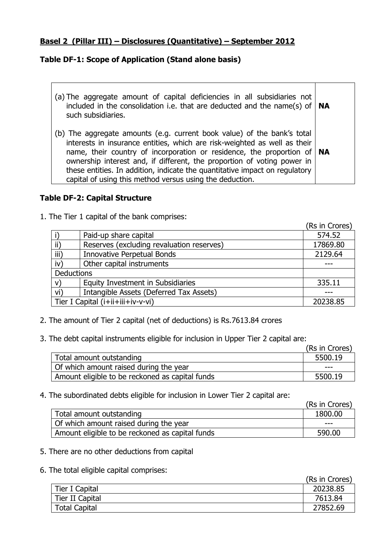#### **Basel 2 (Pillar III) – Disclosures (Quantitative) – September 2012**

## **Table DF-1: Scope of Application (Stand alone basis)**

- (a) The aggregate amount of capital deficiencies in all subsidiaries not included in the consolidation i.e. that are deducted and the name(s) of such subsidiaries. **NA**
- (b) The aggregate amounts (e.g. current book value) of the bank's total interests in insurance entities, which are risk-weighted as well as their name, their country of incorporation or residence, the proportion of ownership interest and, if different, the proportion of voting power in these entities. In addition, indicate the quantitative impact on regulatory capital of using this method versus using the deduction. **NA**

#### **Table DF-2: Capital Structure**

1. The Tier 1 capital of the bank comprises:

|                   |                                           | (Rs in Crores) |
|-------------------|-------------------------------------------|----------------|
|                   | Paid-up share capital                     | 574.52         |
| $\mathsf{ii}$     | Reserves (excluding revaluation reserves) | 17869.80       |
| iii)              | <b>Innovative Perpetual Bonds</b>         | 2129.64        |
| iv)               | Other capital instruments                 |                |
| <b>Deductions</b> |                                           |                |
| V)                | Equity Investment in Subsidiaries         | 335.11         |
| vi)               | Intangible Assets (Deferred Tax Assets)   |                |
|                   | Tier I Capital (i+ii+iii+iv-v-vi)         | 20238.85       |

- 2. The amount of Tier 2 capital (net of deductions) is Rs.7613.84 crores
- 3. The debt capital instruments eligible for inclusion in Upper Tier 2 capital are:

|                                                 | (Rs in Crores) |
|-------------------------------------------------|----------------|
| Total amount outstanding                        | 5500.19        |
| Of which amount raised during the year          | ---            |
| Amount eligible to be reckoned as capital funds | 5500.19        |

4. The subordinated debts eligible for inclusion in Lower Tier 2 capital are:

|                                                 | (Rs in Crores) |
|-------------------------------------------------|----------------|
| Total amount outstanding                        | 1800.00        |
| Of which amount raised during the year          | ---            |
| Amount eligible to be reckoned as capital funds | 590.00         |

- 5. There are no other deductions from capital
- 6. The total eligible capital comprises:

|                      | (Rs in Crores) |
|----------------------|----------------|
| Tier I Capital       | 20238.85       |
| Tier II Capital      | 7613.84        |
| <b>Total Capital</b> | 27852.69       |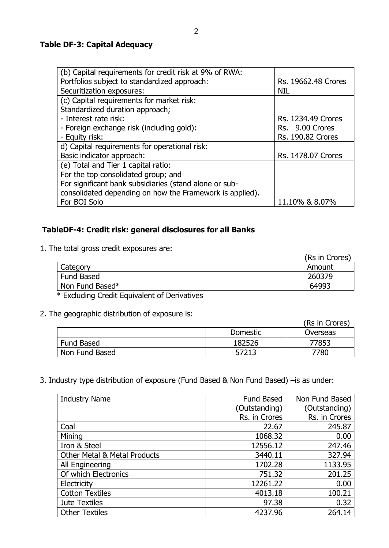#### **Table DF-3: Capital Adequacy**

| (b) Capital requirements for credit risk at 9% of RWA:   |                           |
|----------------------------------------------------------|---------------------------|
| Portfolios subject to standardized approach:             | Rs. 19662.48 Crores       |
| Securitization exposures:                                | <b>NIL</b>                |
| (c) Capital requirements for market risk:                |                           |
| Standardized duration approach;                          |                           |
| - Interest rate risk:                                    | <b>Rs. 1234.49 Crores</b> |
| - Foreign exchange risk (including gold):                | Rs. 9.00 Crores           |
| - Equity risk:                                           | <b>Rs. 190.82 Crores</b>  |
| d) Capital requirements for operational risk:            |                           |
| Basic indicator approach:                                | Rs. 1478.07 Crores        |
| (e) Total and Tier 1 capital ratio:                      |                           |
| For the top consolidated group; and                      |                           |
| For significant bank subsidiaries (stand alone or sub-   |                           |
| consolidated depending on how the Framework is applied). |                           |
| For BOI Solo                                             | 11.10% & 8.07%            |

# **TableDF-4: Credit risk: general disclosures for all Banks**

1. The total gross credit exposures are:

|                   | (Rs in Crores) |
|-------------------|----------------|
| Category          | Amount         |
| <b>Fund Based</b> | 260379         |
| Non Fund Based*   | 64993          |
|                   |                |

\* Excluding Credit Equivalent of Derivatives

2. The geographic distribution of exposure is:

|                   |                 | (Rs in Crores) |
|-------------------|-----------------|----------------|
|                   | <b>Domestic</b> | Overseas       |
| <b>Fund Based</b> | 182526          | 77853          |
| Non Fund Based    | 57213           | 7780           |

3. Industry type distribution of exposure (Fund Based & Non Fund Based) –is as under:

| <b>Industry Name</b>                    | Fund Based    | Non Fund Based |
|-----------------------------------------|---------------|----------------|
|                                         | (Outstanding) | (Outstanding)  |
|                                         | Rs. in Crores | Rs. in Crores  |
| Coal                                    | 22.67         | 245.87         |
| Mining                                  | 1068.32       | 0.00           |
| Iron & Steel                            | 12556.12      | 247.46         |
| <b>Other Metal &amp; Metal Products</b> | 3440.11       | 327.94         |
| All Engineering                         | 1702.28       | 1133.95        |
| Of which Electronics                    | 751.32        | 201.25         |
| Electricity                             | 12261.22      | 0.00           |
| <b>Cotton Textiles</b>                  | 4013.18       | 100.21         |
| Jute Textiles                           | 97.38         | 0.32           |
| <b>Other Textiles</b>                   | 4237.96       | 264.14         |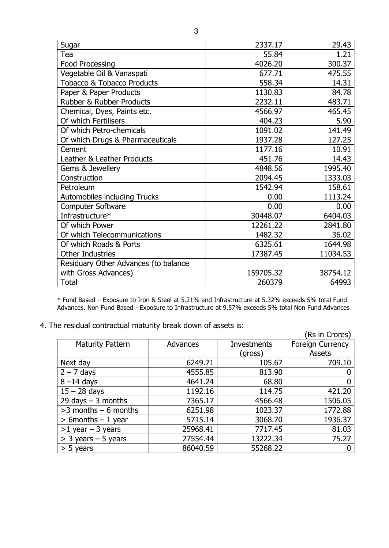| Sugar                                 | 2337.17   | 29.43    |
|---------------------------------------|-----------|----------|
| Tea                                   | 55.84     | 1.21     |
| <b>Food Processing</b>                | 4026.20   | 300.37   |
| Vegetable Oil & Vanaspati             | 677.71    | 475.55   |
| <b>Tobacco &amp; Tobacco Products</b> | 558.34    | 14.31    |
| Paper & Paper Products                | 1130.83   | 84.78    |
| <b>Rubber &amp; Rubber Products</b>   | 2232.11   | 483.71   |
| Chemical, Dyes, Paints etc.           | 4566.97   | 465.45   |
| Of which Fertilisers                  | 404.23    | 5.90     |
| Of which Petro-chemicals              | 1091.02   | 141.49   |
| Of which Drugs & Pharmaceuticals      | 1937.28   | 127.25   |
| Cement                                | 1177.16   | 10.91    |
| Leather & Leather Products            | 451.76    | 14.43    |
| Gems & Jewellery                      | 4848.56   | 1995.40  |
| Construction                          | 2094.45   | 1333.03  |
| Petroleum                             | 1542.94   | 158.61   |
| <b>Automobiles including Trucks</b>   | 0.00      | 1113.24  |
| <b>Computer Software</b>              | 0.00      | 0.00     |
| Infrastructure*                       | 30448.07  | 6404.03  |
| Of which Power                        | 12261.22  | 2841.80  |
| Of which Telecommunications           | 1482.32   | 36.02    |
| Of which Roads & Ports                | 6325.61   | 1644.98  |
| <b>Other Industries</b>               | 17387.45  | 11034.53 |
| Residuary Other Advances (to balance  |           |          |
| with Gross Advances)                  | 159705.32 | 38754.12 |
| <b>Total</b>                          | 260379    | 64993    |

\* Fund Based – Exposure to Iron & Steel at 5.21% and Infrastructure at 5.32% exceeds 5% total Fund Advances. Non Fund Based - Exposure to Infrastructure at 9.57% exceeds 5% total Non Fund Advances

4. The residual contractual maturity break down of assets is:

|                         |          |             | (Rs in Crores)          |
|-------------------------|----------|-------------|-------------------------|
| <b>Maturity Pattern</b> | Advances | Investments | <b>Foreign Currency</b> |
|                         |          | (gross)     | <b>Assets</b>           |
| Next day                | 6249.71  | 105.67      | 709.10                  |
| $2 - 7$ days            | 4555.85  | 813.90      |                         |
| $8 - 14$ days           | 4641.24  | 68.80       |                         |
| $15 - 28$ days          | 1192.16  | 114.75      | 421.20                  |
| 29 days $-$ 3 months    | 7365.17  | 4566.48     | 1506.05                 |
| $>3$ months $-6$ months | 6251.98  | 1023.37     | 1772.88                 |
| $> 6$ months $-1$ year  | 5715.14  | 3068.70     | 1936.37                 |
| $>1$ year - 3 years     | 25968.41 | 7717.45     | 81.03                   |
| $>$ 3 years – 5 years   | 27554.44 | 13222.34    | 75.27                   |
| $> 5$ years             | 86040.59 | 55268.22    |                         |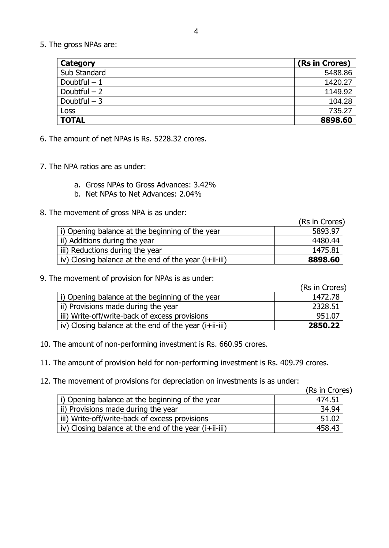5. The gross NPAs are:

| Category      | (Rs in Crores) |
|---------------|----------------|
| Sub Standard  | 5488.86        |
| Doubtful $-1$ | 1420.27        |
| Doubtful $-2$ | 1149.92        |
| Doubtful $-3$ | 104.28         |
| Loss          | 735.27         |
| <b>TOTAL</b>  | 8898.60        |

- 6. The amount of net NPAs is Rs. 5228.32 crores.
- 7. The NPA ratios are as under:
	- a. Gross NPAs to Gross Advances: 3.42%
	- b. Net NPAs to Net Advances: 2.04%
- 8. The movement of gross NPA is as under:

|                                                       | (Rs in Crores) |
|-------------------------------------------------------|----------------|
| i) Opening balance at the beginning of the year       | 5893.97        |
| ii) Additions during the year                         | 4480.44        |
| iii) Reductions during the year                       | 1475.81        |
| iv) Closing balance at the end of the year (i+ii-iii) | 8898.60        |

9. The movement of provision for NPAs is as under:

(Rs in Crores)

| i) Opening balance at the beginning of the year       | 1472.78 |
|-------------------------------------------------------|---------|
| ii) Provisions made during the year                   | 2328.51 |
| iii) Write-off/write-back of excess provisions        | 951.07  |
| iv) Closing balance at the end of the year (i+ii-iii) | 2850.22 |

- 10. The amount of non-performing investment is Rs. 660.95 crores.
- 11. The amount of provision held for non-performing investment is Rs. 409.79 crores.
- 12. The movement of provisions for depreciation on investments is as under:

(Rs in Crores)

| i) Opening balance at the beginning of the year       | 474.51 |
|-------------------------------------------------------|--------|
| ii) Provisions made during the year                   | 34.94  |
| iii) Write-off/write-back of excess provisions        | 51.02  |
| iv) Closing balance at the end of the year (i+ii-iii) | 458.43 |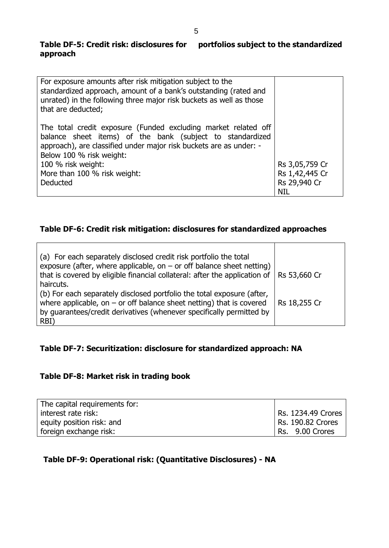## **Table DF-5: Credit risk: disclosures for portfolios subject to the standardized approach**

| For exposure amounts after risk mitigation subject to the<br>standardized approach, amount of a bank's outstanding (rated and<br>unrated) in the following three major risk buckets as well as those<br>that are deducted;    |                |
|-------------------------------------------------------------------------------------------------------------------------------------------------------------------------------------------------------------------------------|----------------|
| The total credit exposure (Funded excluding market related off<br>balance sheet items) of the bank (subject to standardized<br>approach), are classified under major risk buckets are as under: -<br>Below 100 % risk weight: |                |
| 100 % risk weight:                                                                                                                                                                                                            | Rs 3,05,759 Cr |
| More than 100 % risk weight:                                                                                                                                                                                                  | Rs 1,42,445 Cr |
| <b>Deducted</b>                                                                                                                                                                                                               | Rs 29,940 Cr   |
|                                                                                                                                                                                                                               | <b>NIL</b>     |

#### **Table DF-6: Credit risk mitigation: disclosures for standardized approaches**

| (a) For each separately disclosed credit risk portfolio the total<br>exposure (after, where applicable, on $-$ or off balance sheet netting)<br>that is covered by eligible financial collateral: after the application of<br>haircuts. | Rs 53,660 Cr |
|-----------------------------------------------------------------------------------------------------------------------------------------------------------------------------------------------------------------------------------------|--------------|
| (b) For each separately disclosed portfolio the total exposure (after,<br>where applicable, on $-$ or off balance sheet netting) that is covered<br>by guarantees/credit derivatives (whenever specifically permitted by<br>RBI)        | Rs 18,255 Cr |

# **Table DF-7: Securitization: disclosure for standardized approach: NA**

# **Table DF-8: Market risk in trading book**

| The capital requirements for: |                    |
|-------------------------------|--------------------|
| interest rate risk:           | Rs. 1234.49 Crores |
| equity position risk: and     | Rs. 190.82 Crores  |
| foreign exchange risk:        | Rs. 9.00 Crores    |

#### **Table DF-9: Operational risk: (Quantitative Disclosures) - NA**